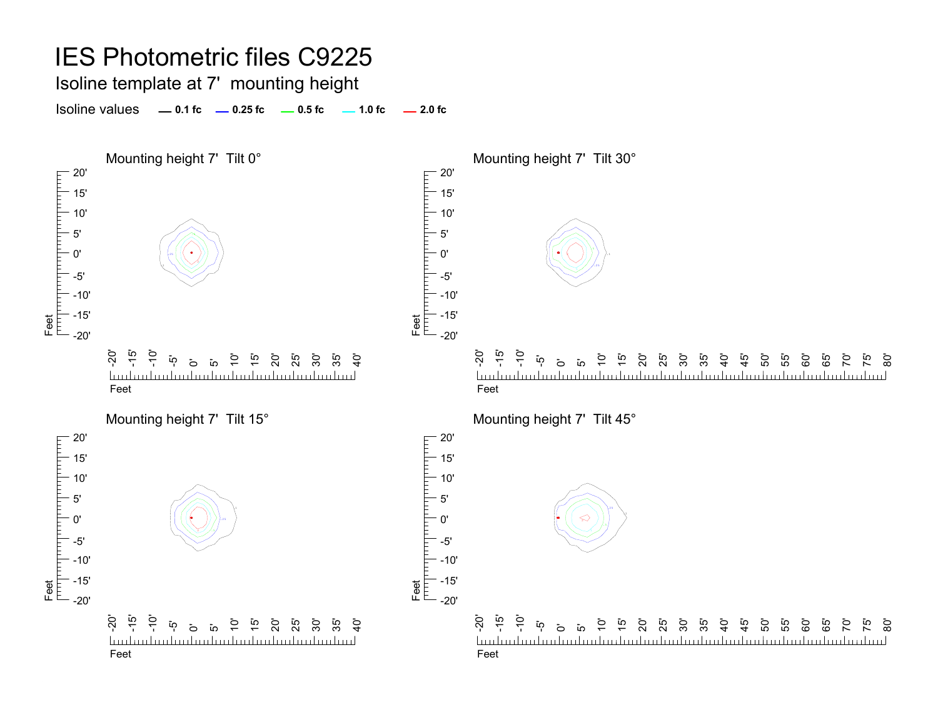#### IES Photometric files C9225 Isoline template at 7' mounting height Isoline values **0.1 fc 0.25 fc 0.5 fc 2.0 fc 1.0 fc** Mounting height 7' Tilt 0° Mounting height 7' Tilt 30°  $-20'$ 20' 15' 15' 10' 10' 5' 5' .50'0' .25 .1 .1.25Feet<br>|<sup>|||||</sup>||<sup>|||||||||</sup>| -5'-5' -10'-10' -15' -15' Feet -20'-20'  $\overline{S}$ -15'  $\frac{1}{2}$ -20' - تە<br>- $\frac{1}{2}$ 15' 20' ິດ<br>25  $\overline{Q}$ 15' 35'  $\mathbf{\ddot{o}}$ 10' 30' ີ 55<br>ີ  $\mathcal{G}$  $\mathbf{\ddot{o}}$  $\overline{a}$ 20' 25' 30'  $\frac{6}{4}$ ្នុ<br>+ 55' <u>تہ</u> <u>ක</u>  $\overline{a}$  $\overline{1}$  $\overline{1}$ 50' 60' 85 70' <u>Industrialization builded introduction l</u> mlundundundundundundundundundundundundun <u>luuluuluuluul</u> FeetFeetMounting height 7' Tilt 45° Mounting height 7' Tilt 15°  $-20'$ 20' 15' 15' 10' 10' 5'5' .10'.10' -5' -5' -10' -10' -15' -15' Feet Feet -20'-20' -20' -15' -10' -20' -15'  $\frac{1}{2}$ ິ 52<br>25 30' 55' 60' ້ ທຸ 15' 20' 35'  $\ddot{5}$  $\mathbf{\ddot{p}}$  $\overline{c}$ ت<br>ب 15' .<br>ន ន ន ន 40'  $\frac{45}{4}$ 50' 65'  $\overline{5}$ 75' <u>.</u><br>8  $\sigma$ iດ  $\tilde{e}$ <u>budmahndunlari</u> <u>hudmdardanlandanlandanlandanla</u> miliar baribari baribari baribari baribari baribari barib FeetFeet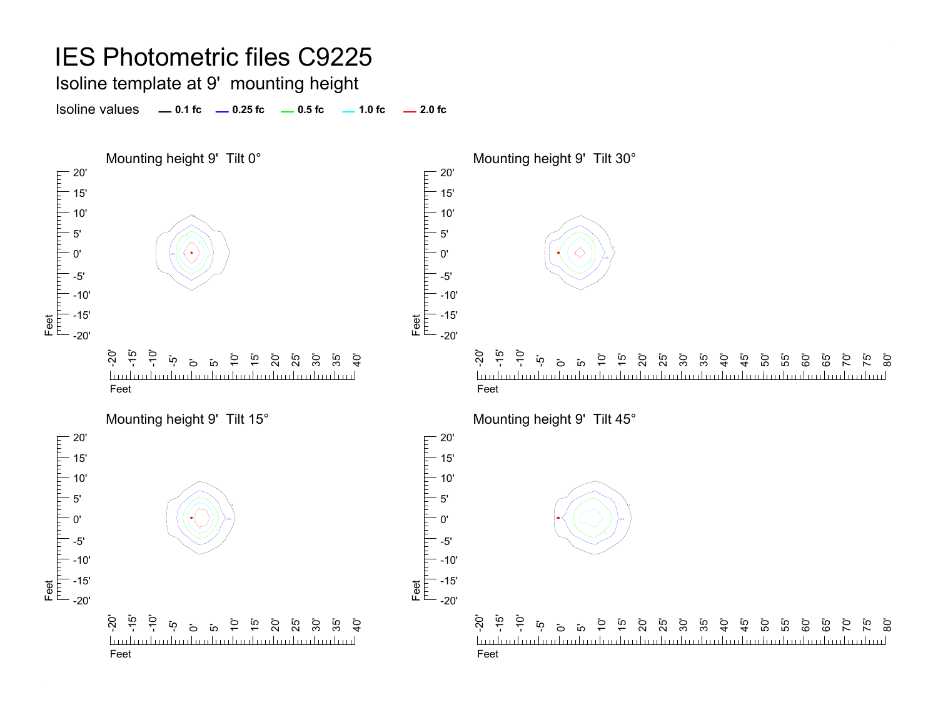### IES Photometric files C9225

Isoline template at 9' mounting height

Isoline values **0.1 fc 0.25 fc 0.5 fc 2.0 fc 1.0 fc**

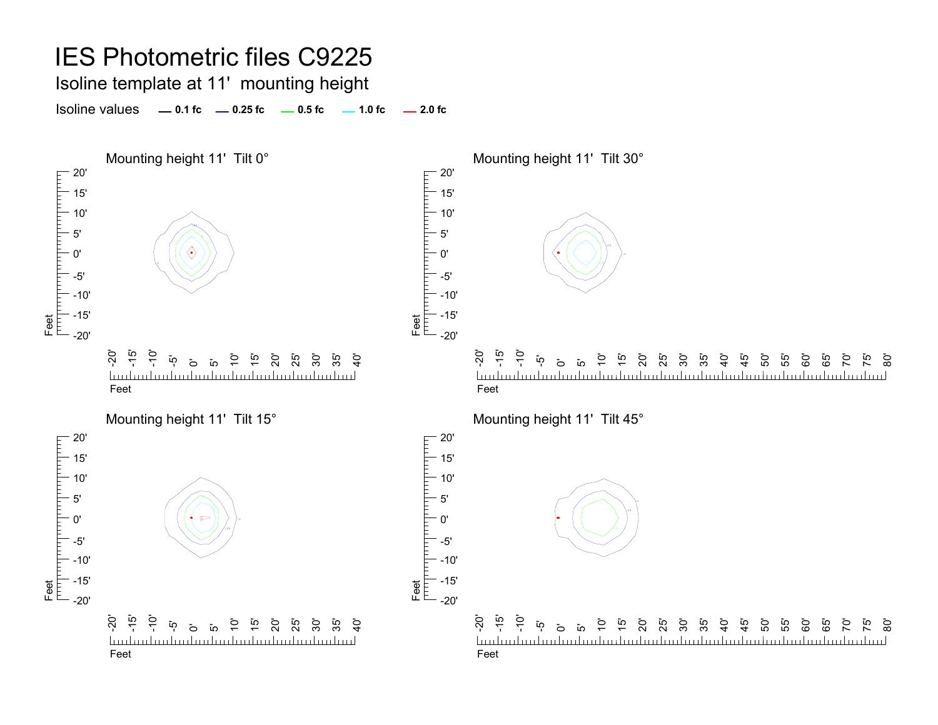### IES Photometric files C9225 Isoline template at 11' mounting height Isoline values **0.1 fc 0.25 fc 0.5 fc 2.0 fc 1.0 fc** Mounting height 11' Tilt 0° Mounting height 11' Tilt 30°  $-20'$ 20' 15' 15' 10' 10' .255' 5' .252 0'0' .1.1.5Feet<br>|<sup>|||||</sup>||<sup>|||||||||</sup>| -5'-5' -10'-10' -15' -15' Feet -20' -20'  $\overline{S}$ -15'  $\frac{1}{2}$ -20' - تە<br>--10' 15' 20' ິ 50<br>25 30'  $\overline{Q}$ 15' .<br>ລິ  $\overline{5}$ 10' ີ 55<br>ີ  $\mathcal{G}$  $\mathbf{\ddot{o}}$  $\overline{a}$ 20' 25' 30'  $\frac{6}{4}$ ي<br>45 ה<br>55 .<br>ק <u>تہ</u> <u>ක</u>  $\overline{a}$  $\overline{1}$  $\overline{1}$ 50' 60' 85 <u>Industrialization builded introduction l</u> mlandanlandanlandanlandanlandanlandanlanda <u>luuluuluuluul</u> FeetFeetMounting height 11' Tilt 15° Mounting height 11' Tilt 45°  $-20'$ 20' гирипит 15' 15' 10' 10' 5'5' 0'0' -5' -5' -10' -10' -15' -15' Feet Feet -20' -20' -20' -15' -10' -20' -15' -10' \_<br>25 30' 55' 60' -5' 15' 20' 35'  $\ddot{5}$  $\mathbf{\ddot{p}}$  $\overline{c}$ ت<br>ب 15' .<br>ន ន ន ន 40'  $\frac{45}{4}$ 50' 65'  $\overline{5}$ 75' <u>.</u><br>8  $\sigma$ iດ  $\tilde{e}$ <u>budouhududu.</u> <u>hudmdanlandanlandanlandanland</u> FeetFeet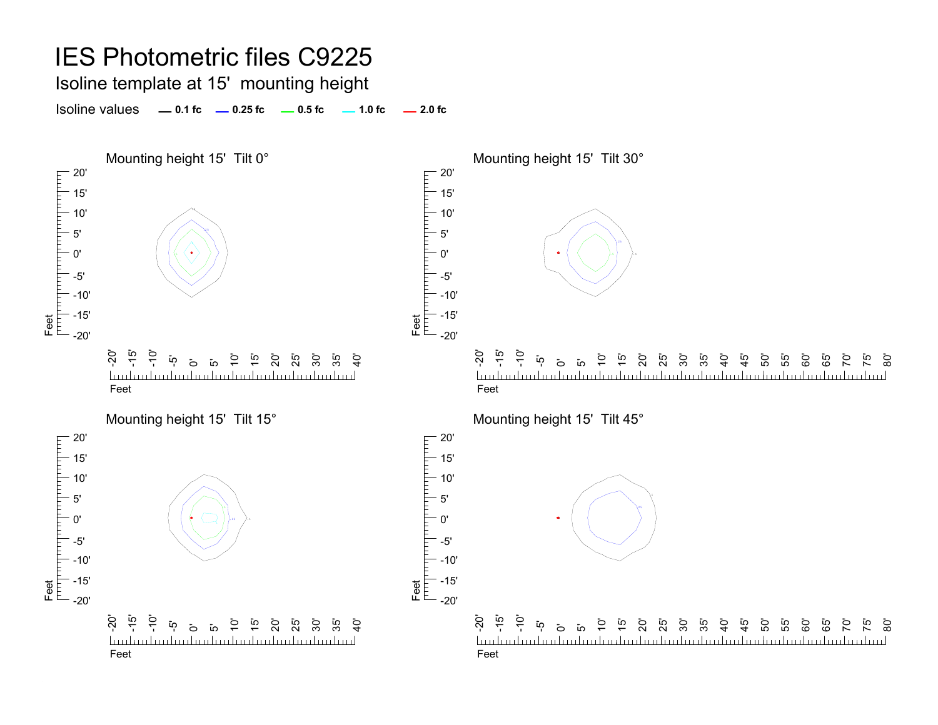# IES Photometric files C9225

Isoline template at 15' mounting height

Isoline values **0.1 fc 0.25 fc 0.5 fc 2.0 fc 1.0 fc**

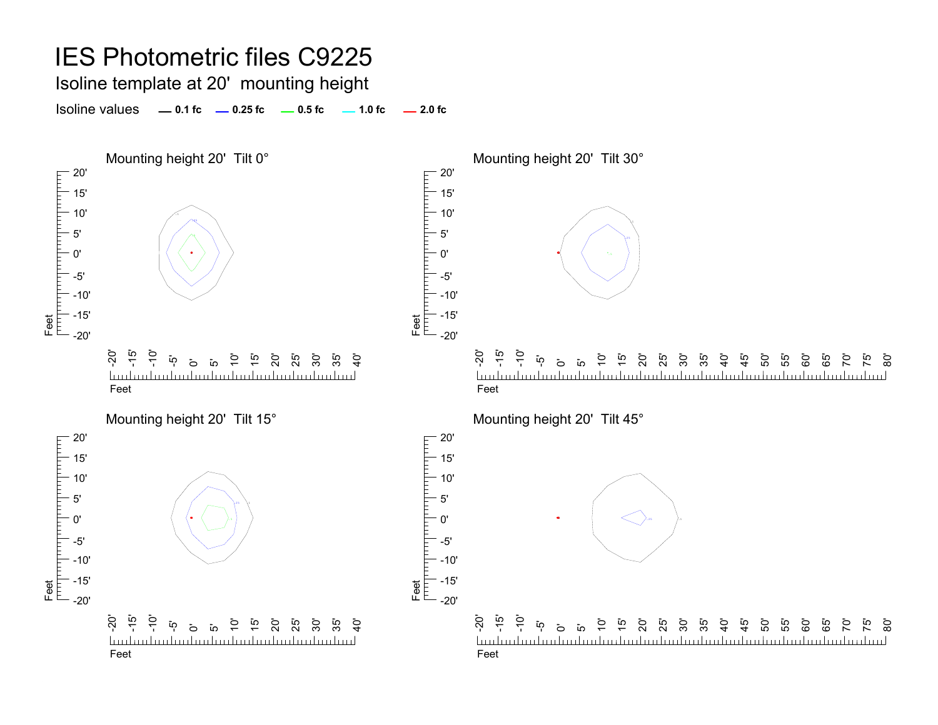# IES Photometric files C9225

Isoline template at 20' mounting height

Isoline values **0.1 fc 0.25 fc 0.5 fc 2.0 fc 1.0 fc**